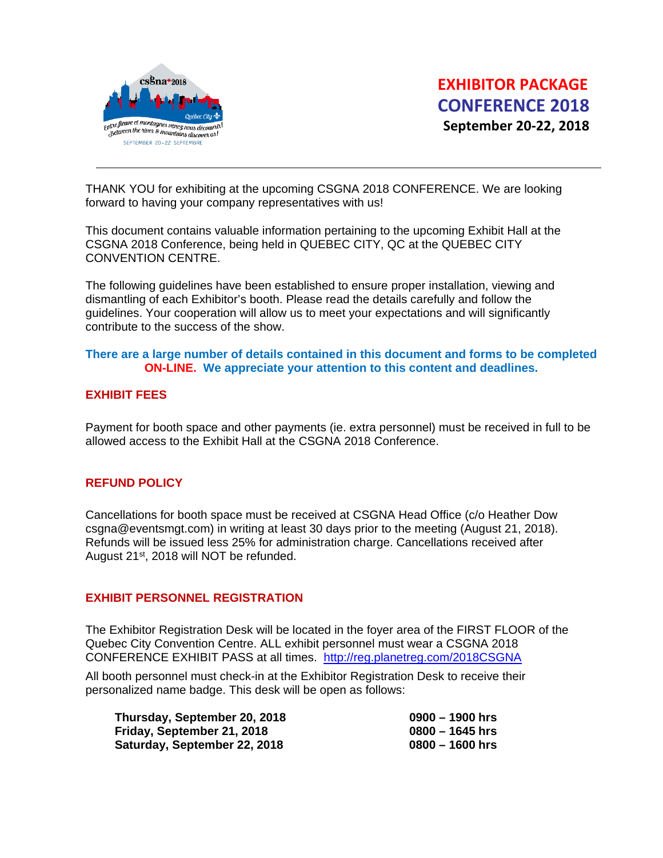

THANK YOU for exhibiting at the upcoming CSGNA 2018 CONFERENCE. We are looking forward to having your company representatives with us!

This document contains valuable information pertaining to the upcoming Exhibit Hall at the CSGNA 2018 Conference, being held in QUEBEC CITY, QC at the QUEBEC CITY CONVENTION CENTRE.

The following guidelines have been established to ensure proper installation, viewing and dismantling of each Exhibitor's booth. Please read the details carefully and follow the guidelines. Your cooperation will allow us to meet your expectations and will significantly contribute to the success of the show.

### **There are a large number of details contained in this document and forms to be completed ON-LINE. We appreciate your attention to this content and deadlines.**

## **EXHIBIT FEES**

Payment for booth space and other payments (ie. extra personnel) must be received in full to be allowed access to the Exhibit Hall at the CSGNA 2018 Conference.

# **REFUND POLICY**

Cancellations for booth space must be received at CSGNA Head Office (c/o Heather Dow csgna@eventsmgt.com) in writing at least 30 days prior to the meeting (August 21, 2018). Refunds will be issued less 25% for administration charge. Cancellations received after August 21<sup>st</sup>, 2018 will NOT be refunded.

#### **EXHIBIT PERSONNEL REGISTRATION**

The Exhibitor Registration Desk will be located in the foyer area of the FIRST FLOOR of the Quebec City Convention Centre. ALL exhibit personnel must wear a CSGNA 2018 CONFERENCE EXHIBIT PASS at all times. <http://reg.planetreg.com/2018CSGNA>

All booth personnel must check-in at the Exhibitor Registration Desk to receive their personalized name badge. This desk will be open as follows:

| Thursday, September 20, 2018 | $0900 - 1900$ hrs |
|------------------------------|-------------------|
| Friday, September 21, 2018   | $0800 - 1645$ hrs |
| Saturday, September 22, 2018 | $0800 - 1600$ hrs |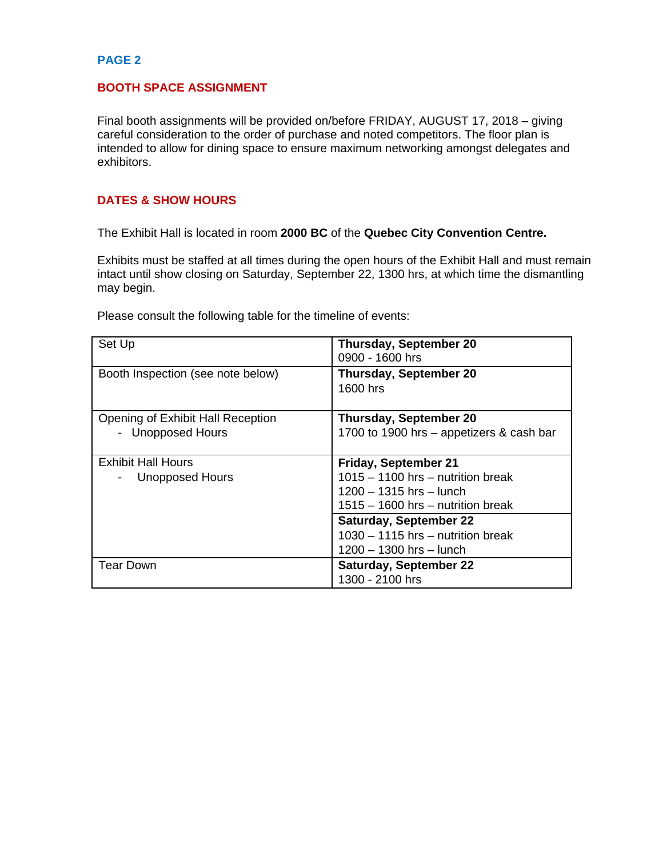### **BOOTH SPACE ASSIGNMENT**

Final booth assignments will be provided on/before FRIDAY, AUGUST 17, 2018 – giving careful consideration to the order of purchase and noted competitors. The floor plan is intended to allow for dining space to ensure maximum networking amongst delegates and exhibitors.

### **DATES & SHOW HOURS**

The Exhibit Hall is located in room **2000 BC** of the **Quebec City Convention Centre.**

Exhibits must be staffed at all times during the open hours of the Exhibit Hall and must remain intact until show closing on Saturday, September 22, 1300 hrs, at which time the dismantling may begin.

Please consult the following table for the timeline of events:

| Set Up                                                 | <b>Thursday, September 20</b><br>0900 - 1600 hrs                                                                          |
|--------------------------------------------------------|---------------------------------------------------------------------------------------------------------------------------|
| Booth Inspection (see note below)                      | <b>Thursday, September 20</b><br>1600 hrs                                                                                 |
| Opening of Exhibit Hall Reception<br>- Unopposed Hours | <b>Thursday, September 20</b><br>1700 to 1900 hrs - appetizers & cash bar                                                 |
| Exhibit Hall Hours<br><b>Unopposed Hours</b>           | Friday, September 21<br>1015 - 1100 hrs - nutrition break<br>1200 - 1315 hrs - lunch<br>1515 – 1600 hrs – nutrition break |
|                                                        | <b>Saturday, September 22</b><br>1030 - 1115 hrs - nutrition break<br>1200 - 1300 hrs - lunch                             |
| <b>Tear Down</b>                                       | <b>Saturday, September 22</b><br>1300 - 2100 hrs                                                                          |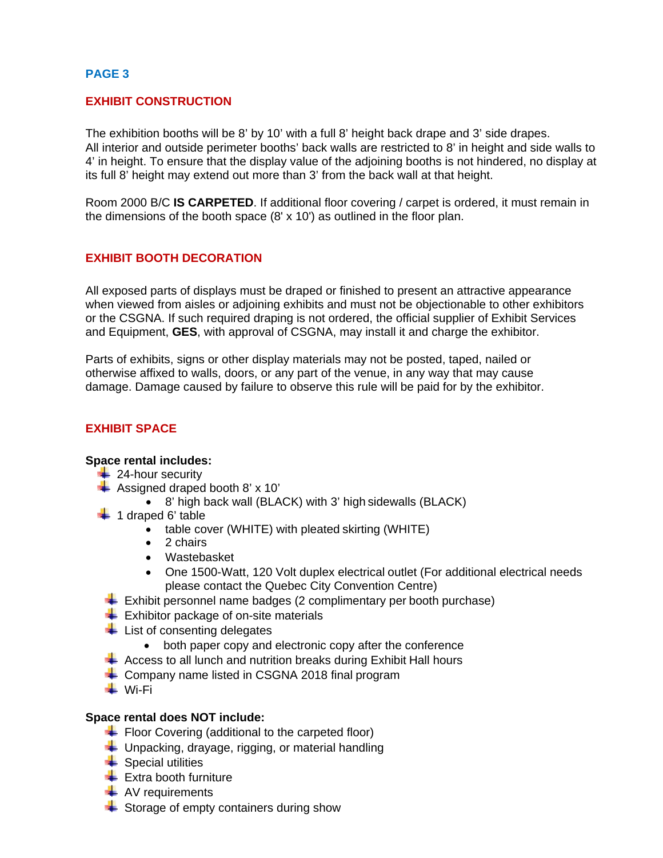# **EXHIBIT CONSTRUCTION**

The exhibition booths will be 8' by 10' with a full 8' height back drape and 3' side drapes. All interior and outside perimeter booths' back walls are restricted to 8' in height and side walls to 4' in height. To ensure that the display value of the adjoining booths is not hindered, no display at its full 8' height may extend out more than 3' from the back wall at that height.

Room 2000 B/C **IS CARPETED**. If additional floor covering / carpet is ordered, it must remain in the dimensions of the booth space (8' x 10') as outlined in the floor plan.

# **EXHIBIT BOOTH DECORATION**

All exposed parts of displays must be draped or finished to present an attractive appearance when viewed from aisles or adjoining exhibits and must not be objectionable to other exhibitors or the CSGNA. If such required draping is not ordered, the official supplier of Exhibit Services and Equipment, **GES**, with approval of CSGNA, may install it and charge the exhibitor.

Parts of exhibits, signs or other display materials may not be posted, taped, nailed or otherwise affixed to walls, doors, or any part of the venue, in any way that may cause damage. Damage caused by failure to observe this rule will be paid for by the exhibitor.

# **EXHIBIT SPACE**

#### **Space rental includes:**

- $\leftarrow$  24-hour security
- $\overline{\phantom{a}}$  Assigned draped booth 8' x 10'
	- 8' high back wall (BLACK) with 3' high sidewalls (BLACK)
- $\blacksquare$  1 draped 6' table
	- table cover (WHITE) with pleated skirting (WHITE)
	- 2 chairs
	- Wastebasket
	- One 1500-Watt, 120 Volt duplex electrical outlet (For additional electrical needs please contact the Quebec City Convention Centre)
- $\div$  Exhibit personnel name badges (2 complimentary per booth purchase)
- $\leftarrow$  Exhibitor package of on-site materials
- $\frac{1}{\sqrt{1}}$  List of consenting delegates
	- both paper copy and electronic copy after the conference
- $\div$  Access to all lunch and nutrition breaks during Exhibit Hall hours
- $\leftarrow$  Company name listed in CSGNA 2018 final program
- **Wi-Fi**

### **Space rental does NOT include:**

- $\overline{\phantom{a}}$  Floor Covering (additional to the carpeted floor)
- $\downarrow$  Unpacking, drayage, rigging, or material handling
- $\bigstar$  Special utilities
- $\leftarrow$  Extra booth furniture
- $\leftarrow$  AV requirements
- $\triangleq$  Storage of empty containers during show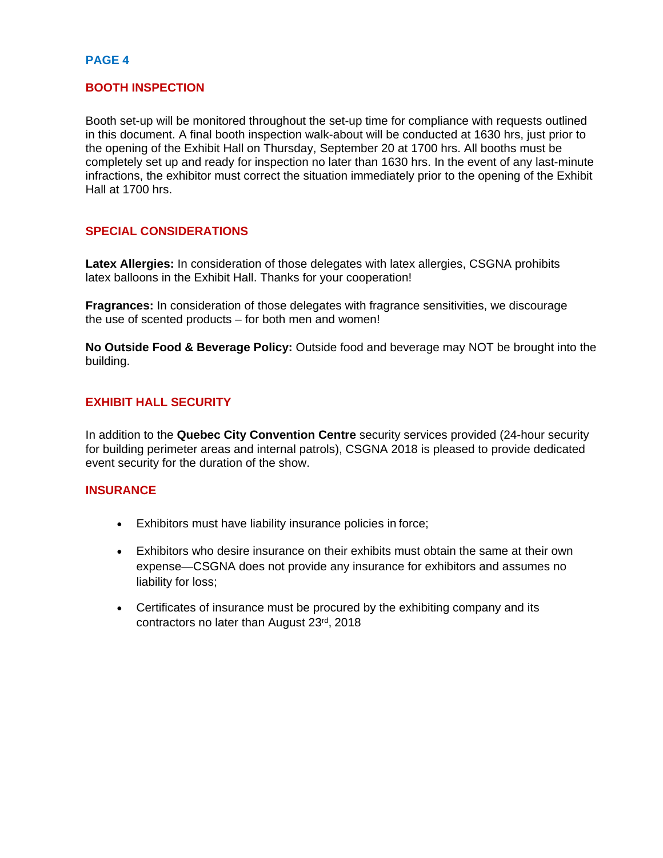### **BOOTH INSPECTION**

Booth set-up will be monitored throughout the set-up time for compliance with requests outlined in this document. A final booth inspection walk-about will be conducted at 1630 hrs, just prior to the opening of the Exhibit Hall on Thursday, September 20 at 1700 hrs. All booths must be completely set up and ready for inspection no later than 1630 hrs. In the event of any last-minute infractions, the exhibitor must correct the situation immediately prior to the opening of the Exhibit Hall at 1700 hrs.

### **SPECIAL CONSIDERATIONS**

**Latex Allergies:** In consideration of those delegates with latex allergies, CSGNA prohibits latex balloons in the Exhibit Hall. Thanks for your cooperation!

**Fragrances:** In consideration of those delegates with fragrance sensitivities, we discourage the use of scented products – for both men and women!

**No Outside Food & Beverage Policy:** Outside food and beverage may NOT be brought into the building.

# **EXHIBIT HALL SECURITY**

In addition to the **Quebec City Convention Centre** security services provided (24-hour security for building perimeter areas and internal patrols), CSGNA 2018 is pleased to provide dedicated event security for the duration of the show.

# **INSURANCE**

- Exhibitors must have liability insurance policies in force;
- Exhibitors who desire insurance on their exhibits must obtain the same at their own expense—CSGNA does not provide any insurance for exhibitors and assumes no liability for loss;
- Certificates of insurance must be procured by the exhibiting company and its contractors no later than August 23rd, 2018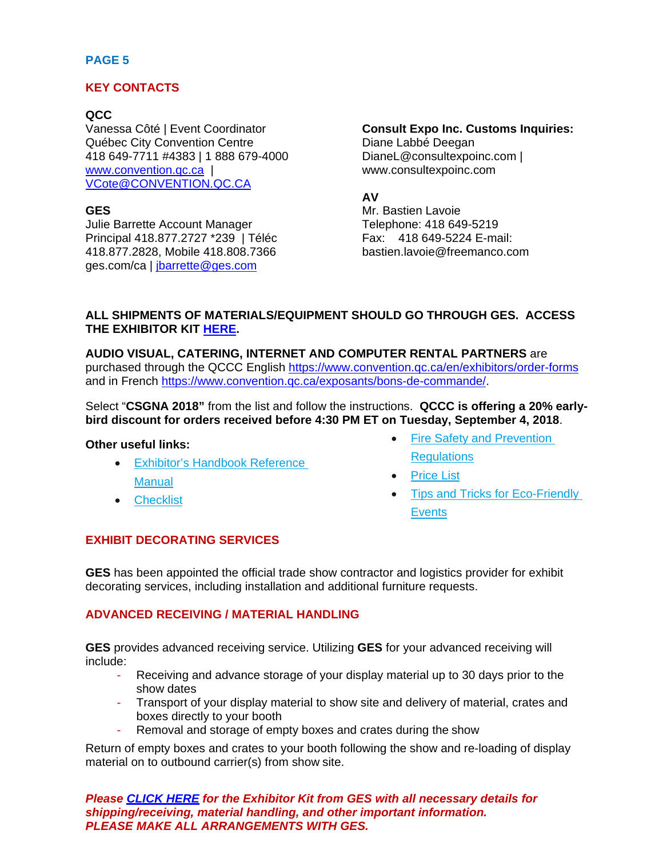# **KEY CONTACTS**

# **QCC**

Vanessa Côté | Event Coordinator Québec City Convention Centre 418 649-7711 #4383 | 1 888 679-4000 [www.convention.qc.ca](http://www.convention.qc.ca/) | [VCote@CONVENTION.QC.CA](mailto:VCote@CONVENTION.QC.CA)

# **GES**

Julie Barrette Account Manager Principal 418.877.2727 \*239 | Téléc 418.877.2828, Mobile 418.808.7366 ges.com/ca | [jbarrette@ges.com](mailto:jbarrette@ges.com)

# **Consult Expo Inc. Customs Inquiries:**

Diane Labbé Deegan DianeL@consultexpoinc.com | www.consultexpoinc.com

# **AV**

Mr. Bastien Lavoie Telephone: 418 649-5219 Fax: 418 649-5224 E-mail: bastien.lavoie@freemanco.com

# **ALL SHIPMENTS OF MATERIALS/EQUIPMENT SHOULD GO THROUGH GES. ACCESS THE EXHIBITOR KIT [HERE.](http://csgna.com/wp-content/uploads/2018/04/Order-Forms-Bon-de-commande_Canadian-Society-of-Gastroenterology-Nurses-Associates-CSGNA-2018.pdf)**

**AUDIO VISUAL, CATERING, INTERNET AND COMPUTER RENTAL PARTNERS** are purchased through the QCCC English https://www.convention.gc.ca/en/exhibitors/order-forms and in French [https://www.convention.qc.ca/exposants/bons-de-commande/.](https://www.convention.qc.ca/exposants/bons-de-commande/)

Select "**CSGNA 2018"** from the list and follow the instructions. **QCCC is offering a 20% earlybird discount for orders received before 4:30 PM ET on Tuesday, September 4, 2018**.

#### **Other useful links:**

- [Exhibitor's Handbook Reference](https://www.convention.qc.ca/wp-content/uploads/2017/03/Exhibitors_Handbook0308.pdf)  **[Manual](https://www.convention.qc.ca/wp-content/uploads/2017/03/Exhibitors_Handbook0308.pdf)**
- [Checklist](https://www.convention.qc.ca/wp-content/uploads/2017/03/checklist-08-2017.pdf)
- **Fire Safety and Prevention Requlations**
- **[Price List](https://www.convention.qc.ca/wp-content/uploads/2018/07/price-list-quebec-convention-centre.pdf)**
- [Tips and Tricks for Eco-Friendly](https://www.convention.qc.ca/wp-content/uploads/2016/10/tipsandtricks_2017.pdf)  **[Events](https://www.convention.qc.ca/wp-content/uploads/2016/10/tipsandtricks_2017.pdf)**

# **EXHIBIT DECORATING SERVICES**

**GES** has been appointed the official trade show contractor and logistics provider for exhibit decorating services, including installation and additional furniture requests.

# **ADVANCED RECEIVING / MATERIAL HANDLING**

**GES** provides advanced receiving service. Utilizing **GES** for your advanced receiving will include:

- Receiving and advance storage of your display material up to 30 days prior to the show dates
- Transport of your display material to show site and delivery of material, crates and boxes directly to your booth
- Removal and storage of empty boxes and crates during the show

Return of empty boxes and crates to your booth following the show and re-loading of display material on to outbound carrier(s) from show site.

*Please [CLICK HERE](http://csgna.com/wp-content/uploads/2018/04/Order-Forms-Bon-de-commande_Canadian-Society-of-Gastroenterology-Nurses-Associates-CSGNA-2018.pdf) for the Exhibitor Kit from GES with all necessary details for shipping/receiving, material handling, and other important information. PLEASE MAKE ALL ARRANGEMENTS WITH GES.*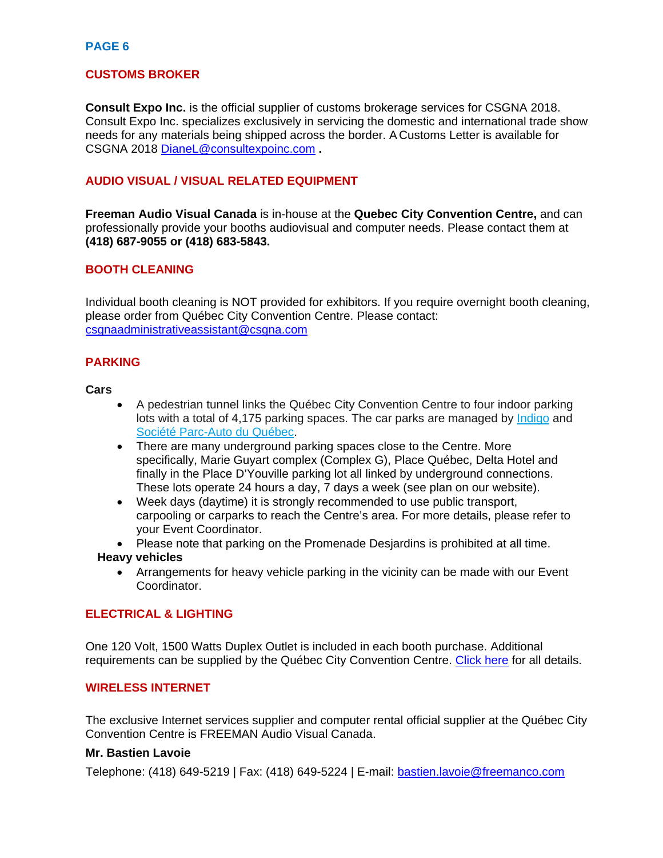# **CUSTOMS BROKER**

**Consult Expo Inc.** is the official supplier of customs brokerage services for CSGNA 2018. Consult Expo Inc. specializes exclusively in servicing the domestic and international trade show needs for any materials being shipped across the border. A Customs Letter is available for CSGNA 2018 [DianeL@consultexpoinc.com](mailto:DianeL@consultexpoinc.com) **.**

# **AUDIO VISUAL / VISUAL RELATED EQUIPMENT**

**Freeman Audio Visual Canada** is in-house at the **Quebec City Convention Centre,** and can professionally provide your booths audiovisual and computer needs. Please contact them at **(418) 687-9055 or (418) 683-5843.**

### **BOOTH CLEANING**

Individual booth cleaning is NOT provided for exhibitors. If you require overnight booth cleaning, please order from Québec City Convention Centre. Please contact: [csgnaadministrativeassistant@csgna.com](mailto:csgnaadministrativeassistant@csgna.com)

# **PARKING**

**Cars**

- A pedestrian tunnel links the Québec City Convention Centre to four indoor parking lots with a total of 4,175 parking spaces. The car parks are managed by [Indigo](https://ca.parkindigo.com/en/car-park/place-quebec) and [Société Parc-Auto du Québec.](http://spaq.com/informationnel/Default.aspx)
- There are many underground parking spaces close to the Centre. More specifically, Marie Guyart complex (Complex G), Place Québec, Delta Hotel and finally in the Place D'Youville parking lot all linked by underground connections. These lots operate 24 hours a day, 7 days a week (see plan on our website).
- Week days (daytime) it is strongly recommended to use public transport, carpooling or carparks to reach the Centre's area. For more details, please refer to your Event Coordinator.
- Please note that parking on the Promenade Desjardins is prohibited at all time.

#### **Heavy vehicles**

• Arrangements for heavy vehicle parking in the vicinity can be made with our Event Coordinator.

# **ELECTRICAL & LIGHTING**

One 120 Volt, 1500 Watts Duplex Outlet is included in each booth purchase. Additional requirements can be supplied by the Québec City Convention Centre. [Click here](https://www.convention.qc.ca/en/exhibitors/order-forms/) for all details.

# **WIRELESS INTERNET**

The exclusive Internet services supplier and computer rental official supplier at the Québec City Convention Centre is FREEMAN Audio Visual Canada.

#### **Mr. Bastien Lavoie**

Telephone: (418) 649-5219 | Fax: (418) 649-5224 | E-mail: [bastien.lavoie@freemanco.com](mailto:bastien.lavoie@freemanco.com)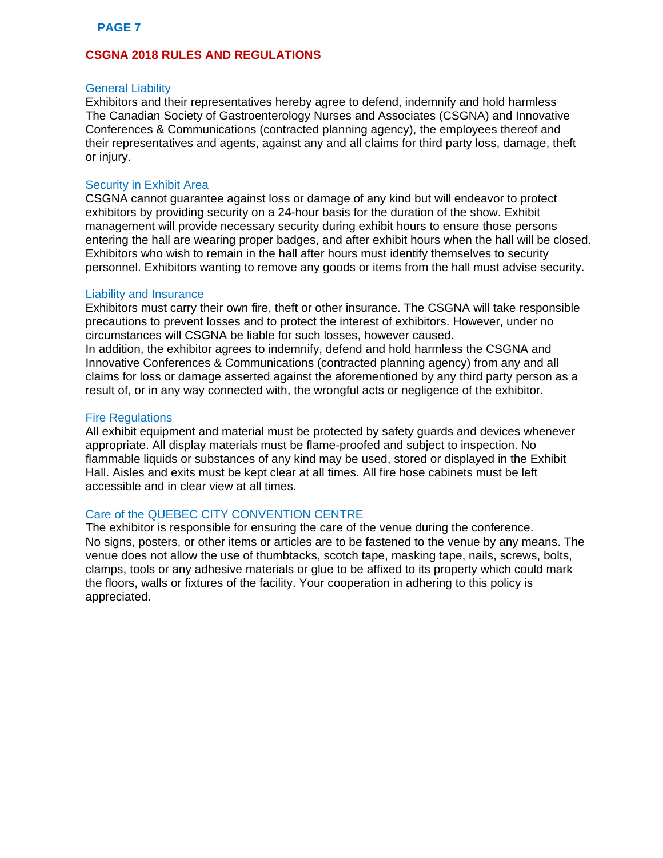# **CSGNA 2018 RULES AND REGULATIONS**

#### General Liability

Exhibitors and their representatives hereby agree to defend, indemnify and hold harmless The Canadian Society of Gastroenterology Nurses and Associates (CSGNA) and Innovative Conferences & Communications (contracted planning agency), the employees thereof and their representatives and agents, against any and all claims for third party loss, damage, theft or injury.

#### Security in Exhibit Area

CSGNA cannot guarantee against loss or damage of any kind but will endeavor to protect exhibitors by providing security on a 24-hour basis for the duration of the show. Exhibit management will provide necessary security during exhibit hours to ensure those persons entering the hall are wearing proper badges, and after exhibit hours when the hall will be closed. Exhibitors who wish to remain in the hall after hours must identify themselves to security personnel. Exhibitors wanting to remove any goods or items from the hall must advise security.

#### Liability and Insurance

Exhibitors must carry their own fire, theft or other insurance. The CSGNA will take responsible precautions to prevent losses and to protect the interest of exhibitors. However, under no circumstances will CSGNA be liable for such losses, however caused. In addition, the exhibitor agrees to indemnify, defend and hold harmless the CSGNA and Innovative Conferences & Communications (contracted planning agency) from any and all claims for loss or damage asserted against the aforementioned by any third party person as a result of, or in any way connected with, the wrongful acts or negligence of the exhibitor.

#### Fire Regulations

All exhibit equipment and material must be protected by safety guards and devices whenever appropriate. All display materials must be flame-proofed and subject to inspection. No flammable liquids or substances of any kind may be used, stored or displayed in the Exhibit Hall. Aisles and exits must be kept clear at all times. All fire hose cabinets must be left accessible and in clear view at all times.

### Care of the QUEBEC CITY CONVENTION CENTRE

The exhibitor is responsible for ensuring the care of the venue during the conference. No signs, posters, or other items or articles are to be fastened to the venue by any means. The venue does not allow the use of thumbtacks, scotch tape, masking tape, nails, screws, bolts, clamps, tools or any adhesive materials or glue to be affixed to its property which could mark the floors, walls or fixtures of the facility. Your cooperation in adhering to this policy is appreciated.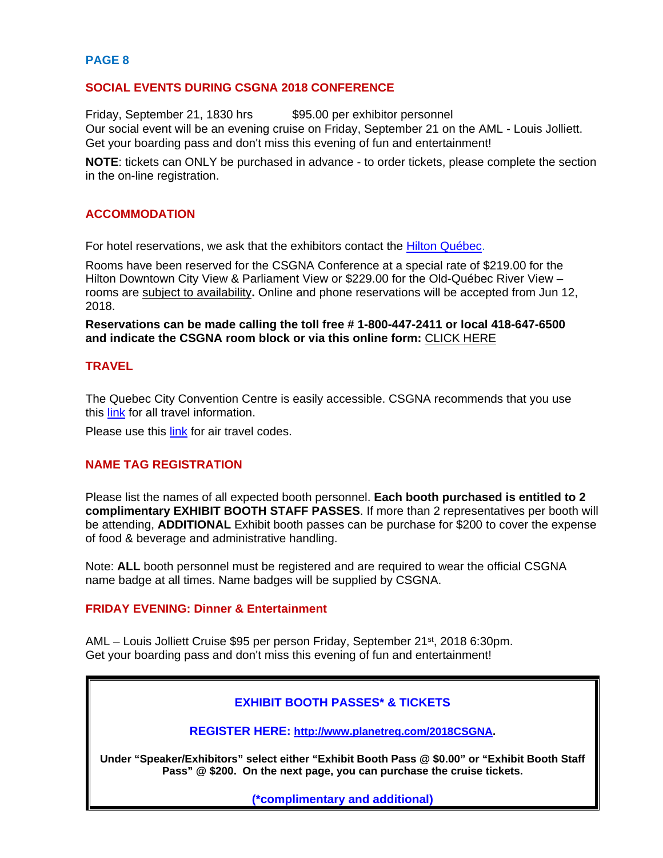#### **SOCIAL EVENTS DURING CSGNA 2018 CONFERENCE**

Friday, September 21, 1830 hrs \$95.00 per exhibitor personnel Our social event will be an evening cruise on Friday, September 21 on the AML - Louis Jolliett. Get your boarding pass and don't miss this evening of fun and entertainment!

**NOTE**: tickets can ONLY be purchased in advance - to order tickets, please complete the section in the on-line registration.

#### **ACCOMMODATION**

For hotel reservations, we ask that the exhibitors contact the [Hilton Québec.](http://www.hiltonquebec.com/)

Rooms have been reserved for the CSGNA Conference at a special rate of \$219.00 for the Hilton Downtown City View & Parliament View or \$229.00 for the Old-Québec River View – rooms are subject to availability**.** Online and phone reservations will be accepted from Jun 12, 2018.

**Reservations can be made calling the toll free # 1-800-447-2411 or local 418-647-6500 and indicate the CSGNA room block or via this online form:** [CLICK](https://book.passkey.com/e/49236906) HERE

#### **TRAVEL**

The Quebec City Convention Centre is easily accessible. CSGNA recommends that you use this [link](http://csgna.com/conferences-2/1664-2/getting-to-quebec-city/) for all travel information.

Please use this [link](http://csgna.com/conferences-2/1664-2/air-travel-discount-code/) for air travel codes.

#### **NAME TAG REGISTRATION**

Please list the names of all expected booth personnel. **Each booth purchased is entitled to 2 complimentary EXHIBIT BOOTH STAFF PASSES**. If more than 2 representatives per booth will be attending, **ADDITIONAL** Exhibit booth passes can be purchase for \$200 to cover the expense of food & beverage and administrative handling.

Note: **ALL** booth personnel must be registered and are required to wear the official CSGNA name badge at all times. Name badges will be supplied by CSGNA.

### **FRIDAY EVENING: Dinner & Entertainment**

AML – Louis Jolliett Cruise \$95 per person Friday, September 21<sup>st</sup>, 2018 6:30pm. Get your boarding pass and don't miss this evening of fun and entertainment!

#### **EXHIBIT BOOTH PASSES\* & TICKETS**

**REGISTER HERE: [http://www.planetreg.com/2018CSGNA.](http://www.planetreg.com/2018CSGNA)**

**Under "Speaker/Exhibitors" select either "Exhibit Booth Pass @ \$0.00" or "Exhibit Booth Staff Pass" @ \$200. On the next page, you can purchase the cruise tickets.**

**(\*complimentary and additional)**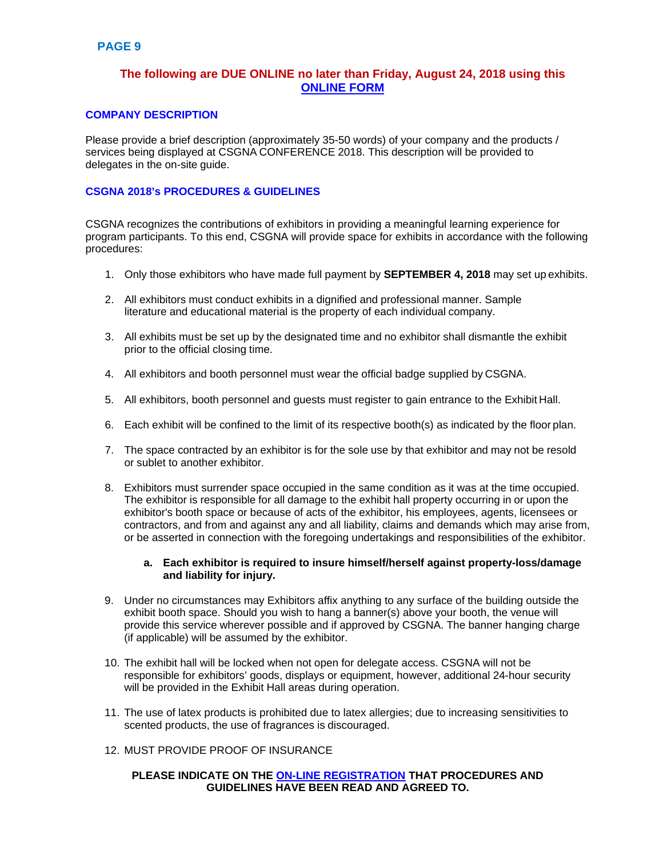# **The following are DUE ONLINE no later than Friday, August 24, 2018 using this [ONLINE FORM](http://csgna.com/conferences-2/1664-2/sponsors-exhibitor-information/sponsor-exhibitor-information-form/)**

#### **COMPANY DESCRIPTION**

Please provide a brief description (approximately 35-50 words) of your company and the products / services being displayed at CSGNA CONFERENCE 2018. This description will be provided to delegates in the on-site guide.

#### **CSGNA 2018's PROCEDURES & GUIDELINES**

CSGNA recognizes the contributions of exhibitors in providing a meaningful learning experience for program participants. To this end, CSGNA will provide space for exhibits in accordance with the following procedures:

- 1. Only those exhibitors who have made full payment by **SEPTEMBER 4, 2018** may set up exhibits.
- 2. All exhibitors must conduct exhibits in a dignified and professional manner. Sample literature and educational material is the property of each individual company.
- 3. All exhibits must be set up by the designated time and no exhibitor shall dismantle the exhibit prior to the official closing time.
- 4. All exhibitors and booth personnel must wear the official badge supplied by CSGNA.
- 5. All exhibitors, booth personnel and guests must register to gain entrance to the Exhibit Hall.
- 6. Each exhibit will be confined to the limit of its respective booth(s) as indicated by the floor plan.
- 7. The space contracted by an exhibitor is for the sole use by that exhibitor and may not be resold or sublet to another exhibitor.
- 8. Exhibitors must surrender space occupied in the same condition as it was at the time occupied. The exhibitor is responsible for all damage to the exhibit hall property occurring in or upon the exhibitor's booth space or because of acts of the exhibitor, his employees, agents, licensees or contractors, and from and against any and all liability, claims and demands which may arise from, or be asserted in connection with the foregoing undertakings and responsibilities of the exhibitor.

#### **a. Each exhibitor is required to insure himself/herself against property-loss/damage and liability for injury.**

- 9. Under no circumstances may Exhibitors affix anything to any surface of the building outside the exhibit booth space. Should you wish to hang a banner(s) above your booth, the venue will provide this service wherever possible and if approved by CSGNA. The banner hanging charge (if applicable) will be assumed by the exhibitor.
- 10. The exhibit hall will be locked when not open for delegate access. CSGNA will not be responsible for exhibitors' goods, displays or equipment, however, additional 24-hour security will be provided in the Exhibit Hall areas during operation.
- 11. The use of latex products is prohibited due to latex allergies; due to increasing sensitivities to scented products, the use of fragrances is discouraged.
- 12. MUST PROVIDE PROOF OF INSURANCE

#### **PLEASE INDICATE ON THE [ON-LINE REGISTRATION](http://csgna.com/conferences-2/1664-2/sponsors-exhibitor-information/sponsor-exhibitor-information-form/) THAT PROCEDURES AND GUIDELINES HAVE BEEN READ AND AGREED TO.**